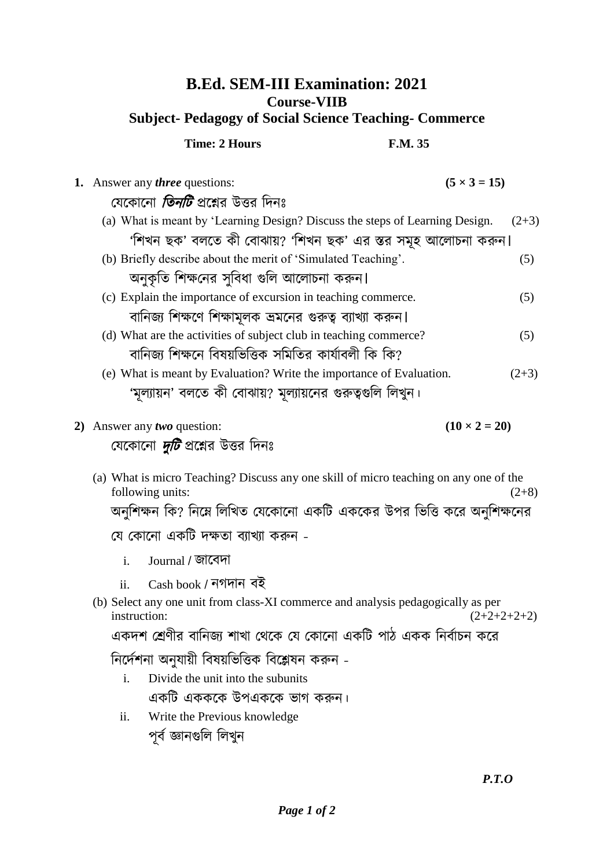## **B.Ed. SEM-III Examination: 2021 Course-VIIB Subject- Pedagogy of Social Science Teaching- Commerce**

|                                                               | <b>Time: 2 Hours</b>                                                         | <b>F.M. 35</b> |                     |  |
|---------------------------------------------------------------|------------------------------------------------------------------------------|----------------|---------------------|--|
|                                                               | 1. Answer any <i>three</i> questions:                                        |                | $(5 \times 3 = 15)$ |  |
|                                                               | যেকোনো <i>তিনটি</i> প্রশ্নের উত্তর দিনঃ                                      |                |                     |  |
|                                                               | (a) What is meant by 'Learning Design? Discuss the steps of Learning Design. |                | $(2+3)$             |  |
| 'শিখন ছক' বলতে কী বোঝায়? 'শিখন ছক' এর স্তর সমূহ আলোচনা করুন। |                                                                              |                |                     |  |
|                                                               | (b) Briefly describe about the merit of 'Simulated Teaching'.                |                | (5)                 |  |
|                                                               | অনুকৃতি শিক্ষনের সুবিধা গুলি আলোচনা করুন।                                    |                |                     |  |
|                                                               | (c) Explain the importance of excursion in teaching commerce.                |                | (5)                 |  |
|                                                               | বানিজ্য শিক্ষণে শিক্ষামূলক ভ্রমনের গুরুত্ব ব্যাখ্যা করুন।                    |                |                     |  |
|                                                               | (d) What are the activities of subject club in teaching commerce?            |                | (5)                 |  |
|                                                               | বানিজ্য শিক্ষনে বিষয়ভিত্তিক সমিতির কার্যাবলী কি কি?                         |                |                     |  |
|                                                               | (e) What is meant by Evaluation? Write the importance of Evaluation.         |                | $(2+3)$             |  |
|                                                               | 'মূল্যায়ন' বলতে কী বোঝায়? মূল্যায়নের গুরুত্বগুলি লিখুন।                   |                |                     |  |
|                                                               |                                                                              |                |                     |  |

**2**) Answer any *two* question:  $(10 \times 2 = 20)$ 

যেকোনো *দুটি* প্রশ্নের উত্তর দিনঃ

- (a) What is micro Teaching? Discuss any one skill of micro teaching on any one of the following units:  $(2+8)$ অনুশিক্ষন কি? নিম্নে লিখিত যেকোনো একটি এককের উপর ভিত্তি করে অনুশিক্ষনের যে কোনো একটি দক্ষতা ব্যাখ্যা করুন
	- i. Journal / জোকবিো
	- ii. Cash book / গিো বই
- (b) Select any one unit from class-XI commerce and analysis pedagogically as per  $(2+2+2+2+2)$   $(2+2+2+2+2)$

একদশ শ্রেণীর বানিজ্য শাখা থেকে যে কোনো একটি পাঠ একক নির্বাচন করে

নির্দেশনা অনযায়ী বিষয়ভিত্তিক বিশ্লেষন করুন -

- i. Divide the unit into the subunits একটি একককে উপএককে ভাগ করুন।
- ii. Write the Previous knowledge পূৰ্ব জ্ঞানগুলি লিখুন